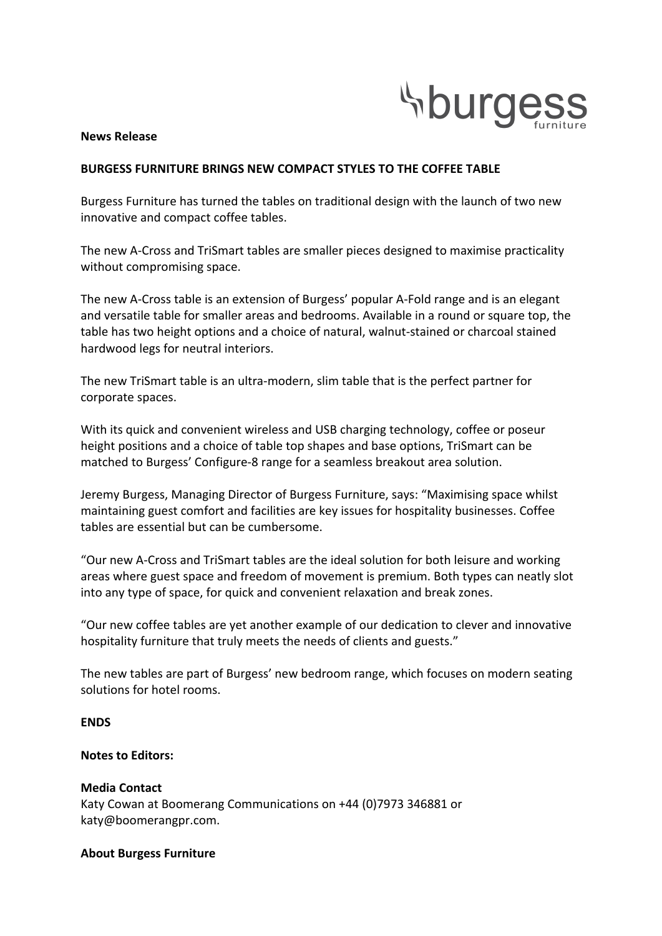

## **News Release**

# **BURGESS FURNITURE BRINGS NEW COMPACT STYLES TO THE COFFEE TABLE**

Burgess Furniture has turned the tables on traditional design with the launch of two new innovative and compact coffee tables.

The new A-Cross and TriSmart tables are smaller pieces designed to maximise practicality without compromising space.

The new A-Cross table is an extension of Burgess' popular A-Fold range and is an elegant and versatile table for smaller areas and bedrooms. Available in a round or square top, the table has two height options and a choice of natural, walnut-stained or charcoal stained hardwood legs for neutral interiors.

The new TriSmart table is an ultra-modern, slim table that is the perfect partner for corporate spaces.

With its quick and convenient wireless and USB charging technology, coffee or poseur height positions and a choice of table top shapes and base options, TriSmart can be matched to Burgess' Configure-8 range for a seamless breakout area solution.

Jeremy Burgess, Managing Director of Burgess Furniture, says: "Maximising space whilst maintaining guest comfort and facilities are key issues for hospitality businesses. Coffee tables are essential but can be cumbersome.

"Our new A-Cross and TriSmart tables are the ideal solution for both leisure and working areas where guest space and freedom of movement is premium. Both types can neatly slot into any type of space, for quick and convenient relaxation and break zones.

"Our new coffee tables are yet another example of our dedication to clever and innovative hospitality furniture that truly meets the needs of clients and guests."

The new tables are part of Burgess' new bedroom range, which focuses on modern seating solutions for hotel rooms.

# **ENDS**

# **Notes to Editors:**

# **Media Contact**

Katy Cowan at Boomerang Communications on +44 (0)7973 346881 or katy@boomerangpr.com.

## **About Burgess Furniture**